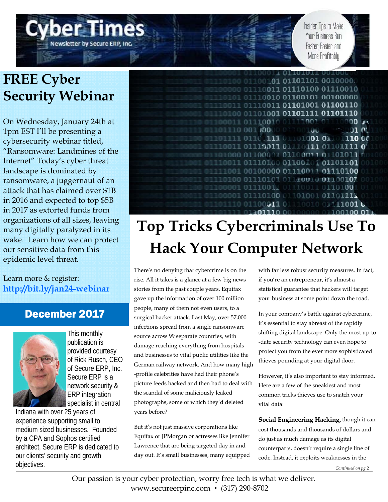# **FREE Cyber Security Webinar**

Newsletter by Secure ERP, Inc

On Wednesday, January 24th at 1pm EST I'll be presenting a cybersecurity webinar titled, "Ransomware: Landmines of the Internet" Today's cyber threat landscape is dominated by ransomware, a juggernaut of an attack that has claimed over \$1B in 2016 and expected to top \$5B in 2017 as extorted funds from organizations of all sizes, leaving many digitally paralyzed in its wake. Learn how we can protect our sensitive data from this epidemic level threat.

#### Learn more & register: **http://bit.ly/jan24-webinar**

### December 2017



This monthly publication is provided courtesy of Rick Rusch, CEO of Secure ERP, Inc. Secure ERP is a network security & ERP integration specialist in central

Indiana with over 25 years of experience supporting small to medium sized businesses. Founded by a CPA and Sophos certified architect, Secure ERP is dedicated to our clients' security and growth objectives.



# **Top Tricks Cybercriminals Use To Hack Your Computer Network**

There's no denying that cybercrime is on the rise. All it takes is a glance at a few big news stories from the past couple years. Equifax gave up the information of over 100 million people, many of them not even users, to a surgical hacker attack. Last May, over 57,000 infections spread from a single ransomware source across 99 separate countries, with damage reaching everything from hospitals and businesses to vital public utilities like the German railway network. And how many high -profile celebrities have had their phone's picture feeds hacked and then had to deal with the scandal of some maliciously leaked photographs, some of which they'd deleted years before?

But it's not just massive corporations like Equifax or JPMorgan or actresses like Jennifer Lawrence that are being targeted day in and day out. It's small businesses, many equipped with far less robust security measures. In fact, if you're an entrepreneur, it's almost a statistical guarantee that hackers will target your business at some point down the road.

Insider Tips to Make Your Business Run

Faster Fasier and More Profitably

In your company's battle against cybercrime, it's essential to stay abreast of the rapidly shifting digital landscape. Only the most up-to -date security technology can even hope to protect you from the ever more sophisticated thieves pounding at your digital door.

However, it's also important to stay informed. Here are a few of the sneakiest and most common tricks thieves use to snatch your vital data:

**Social Engineering Hacking,** though it can cost thousands and thousands of dollars and do just as much damage as its digital counterparts, doesn't require a single line of code. Instead, it exploits weaknesses in the

*Continued on pg.2*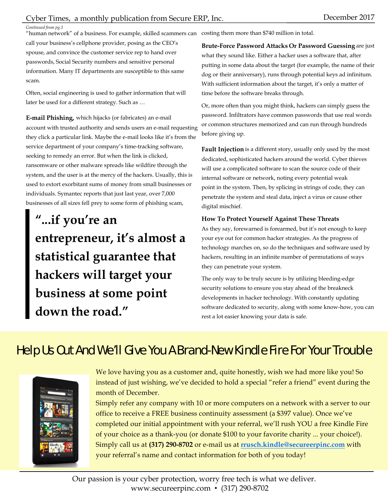*Continued from pg.1* 

"human network" of a business. For example, skilled scammers can call your business's cellphone provider, posing as the CEO's spouse, and convince the customer service rep to hand over passwords, Social Security numbers and sensitive personal information. Many IT departments are susceptible to this same scam.

Often, social engineering is used to gather information that will later be used for a different strategy. Such as …

**E-mail Phishing,** which hijacks (or fabricates) an e-mail account with trusted authority and sends users an e-mail requesting they click a particular link. Maybe the e-mail looks like it's from the service department of your company's time-tracking software, seeking to remedy an error. But when the link is clicked, ransomware or other malware spreads like wildfire through the system, and the user is at the mercy of the hackers. Usually, this is used to extort exorbitant sums of money from small businesses or individuals. Symantec reports that just last year, over 7,000 businesses of all sizes fell prey to some form of phishing scam,

**"...if you're an entrepreneur, it's almost a statistical guarantee that hackers will target your business at some point down the road."** 

costing them more than \$740 million in total.

**Brute-Force Password Attacks Or Password Guessing** are just what they sound like. Either a hacker uses a software that, after putting in some data about the target (for example, the name of their dog or their anniversary), runs through potential keys ad infinitum. With sufficient information about the target, it's only a matter of time before the software breaks through.

Or, more often than you might think, hackers can simply guess the password. Infiltrators have common passwords that use real words or common structures memorized and can run through hundreds before giving up.

**Fault Injection** is a different story, usually only used by the most dedicated, sophisticated hackers around the world. Cyber thieves will use a complicated software to scan the source code of their internal software or network, noting every potential weak point in the system. Then, by splicing in strings of code, they can penetrate the system and steal data, inject a virus or cause other digital mischief.

#### **How To Protect Yourself Against These Threats**

As they say, forewarned is forearmed, but it's not enough to keep your eye out for common hacker strategies. As the progress of technology marches on, so do the techniques and software used by hackers, resulting in an infinite number of permutations of ways they can penetrate your system.

The only way to be truly secure is by utilizing bleeding-edge security solutions to ensure you stay ahead of the breakneck developments in hacker technology. With constantly updating software dedicated to security, along with some know-how, you can rest a lot easier knowing your data is safe.

### Help Us Out And We'll Give You A Brand-New Kindle Fire For Your Trouble



We love having you as a customer and, quite honestly, wish we had more like you! So instead of just wishing, we've decided to hold a special "refer a friend" event during the month of December.

Simply refer any company with 10 or more computers on a network with a server to our office to receive a FREE business continuity assessment (a \$397 value). Once we've completed our initial appointment with your referral, we'll rush YOU a free Kindle Fire of your choice as a thank-you (or donate \$100 to your favorite charity ... your choice!). Simply call us at **(317) 290-8702** or e-mail us at **rrusch.kindle@secureerpinc.com** with your referral's name and contact information for both of you today!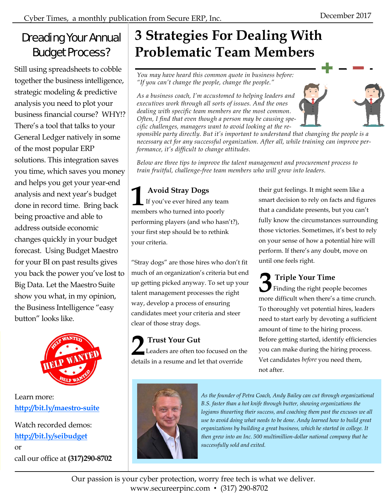### Dreading Your Annual Budget Process?

Still using spreadsheets to cobble together the business intelligence, strategic modeling & predictive analysis you need to plot your business financial course? WHY!? There's a tool that talks to your General Ledger natively in some of the most popular ERP solutions. This integration saves you time, which saves you money and helps you get your year-end analysis and next year's budget done in record time. Bring back being proactive and able to address outside economic changes quickly in your budget forecast. Using Budget Maestro for your BI on past results gives you back the power you've lost to Big Data. Let the Maestro Suite show you what, in my opinion, the Business Intelligence "easy button" looks like.



### Learn more: **http://bit.ly/maestro-suite**

Watch recorded demos: **http://bit.ly/seibudget** or call our office at **(317)290-8702** 

# **3 Strategies For Dealing With Problematic Team Members**

*You may have heard this common quote in business before: "If you can't change the people, change the people."* 

*As a business coach, I'm accustomed to helping leaders and executives work through all sorts of issues. And the ones dealing with specific team members are the most common. Often, I find that even though a person may be causing specific challenges, managers want to avoid looking at the re-*

*sponsible party directly. But it's important to understand that changing the people is a necessary act for any successful organization. After all, while training can improve performance, it's difficult to change attitudes.* 

*Below are three tips to improve the talent management and procurement process to train fruitful, challenge-free team members who will grow into leaders.* 

### **1 Avoid Stray Dogs**<br>If you've ever hired an If you've ever hired any team members who turned into poorly performing players (and who hasn't?), your first step should be to rethink your criteria.

"Stray dogs" are those hires who don't fit much of an organization's criteria but end up getting picked anyway. To set up your talent management processes the right way, develop a process of ensuring candidates meet your criteria and steer clear of those stray dogs.

**2 Trust Your Gut** Leaders are often too focused on the details in a resume and let that override

their gut feelings. It might seem like a smart decision to rely on facts and figures that a candidate presents, but you can't fully know the circumstances surrounding those victories. Sometimes, it's best to rely on your sense of how a potential hire will perform. If there's any doubt, move on until one feels right.

**3 Triple Your Time**<br>Finding the right peop Finding the right people becomes more difficult when there's a time crunch. To thoroughly vet potential hires, leaders need to start early by devoting a sufficient amount of time to the hiring process. Before getting started, identify efficiencies you can make during the hiring process. Vet candidates *before* you need them, not after.



*As the founder of Petra Coach, Andy Bailey can cut through organizational B.S. faster than a hot knife through butter, showing organizations the logjams thwarting their success, and coaching them past the excuses we all use to avoid doing what needs to be done. Andy learned how to build great organizations by building a great business, which he started in college. It then grew into an Inc. 500 multimillion-dollar national company that he successfully sold and exited.*